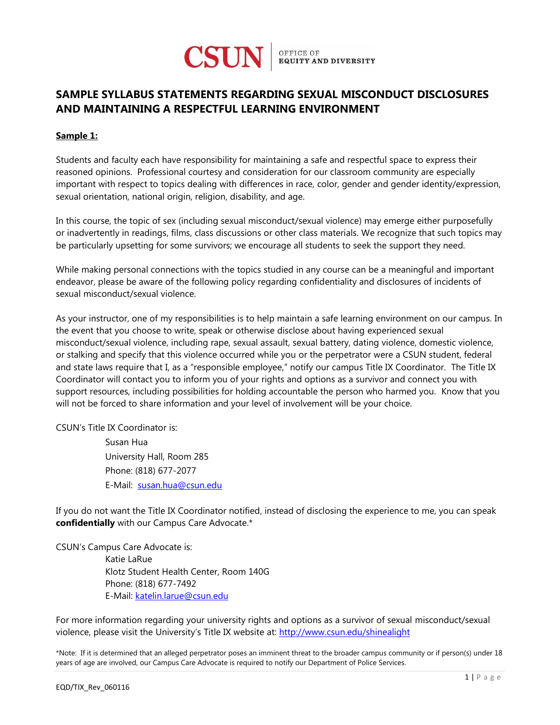

## **SAMPLE SYLLABUS STATEMENTS REGARDING SEXUAL MISCONDUCT DISCLOSURES AND MAINTAINING A RESPECTFUL LEARNING ENVIRONMENT**

## **Sample 1:**

Students and faculty each have responsibility for maintaining a safe and respectful space to express their reasoned opinions. Professional courtesy and consideration for our classroom community are especially important with respect to topics dealing with differences in race, color, gender and gender identity/expression, sexual orientation, national origin, religion, disability, and age.

In this course, the topic of sex (including sexual misconduct/sexual violence) may emerge either purposefully or inadvertently in readings, films, class discussions or other class materials. We recognize that such topics may be particularly upsetting for some survivors; we encourage all students to seek the support they need.

While making personal connections with the topics studied in any course can be a meaningful and important endeavor, please be aware of the following policy regarding confidentiality and disclosures of incidents of sexual misconduct/sexual violence.

As your instructor, one of my responsibilities is to help maintain a safe learning environment on our campus. In the event that you choose to write, speak or otherwise disclose about having experienced sexual misconduct/sexual violence, including rape, sexual assault, sexual battery, dating violence, domestic violence, or stalking and specify that this violence occurred while you or the perpetrator were a CSUN student, federal and state laws require that I, as a "responsible employee," notify our campus Title IX Coordinator. The Title IX Coordinator will contact you to inform you of your rights and options as a survivor and connect you with support resources, including possibilities for holding accountable the person who harmed you. Know that you will not be forced to share information and your level of involvement will be your choice.

CSUN's Title IX Coordinator is:

Susan Hua University Hall, Room 285 Phone: (818) 677-2077 E-Mail: [susan.hua@csun.edu](mailto:susan.hua@csun.edu)

If you do not want the Title IX Coordinator notified, instead of disclosing the experience to me, you can speak **confidentially** with our Campus Care Advocate.\*

CSUN's Campus Care Advocate is: Katie LaRue Klotz Student Health Center, Room 140G Phone: (818) 677-7492 E-Mail: [katelin.larue@csun.edu](mailto:katelin.larue@csun.edu)

For more information regarding your university rights and options as a survivor of sexual misconduct/sexual violence, please visit the University's Title IX website at:<http://www.csun.edu/shinealight>

\*Note: If it is determined that an alleged perpetrator poses an imminent threat to the broader campus community or if person(s) under 18 years of age are involved, our Campus Care Advocate is required to notify our Department of Police Services.